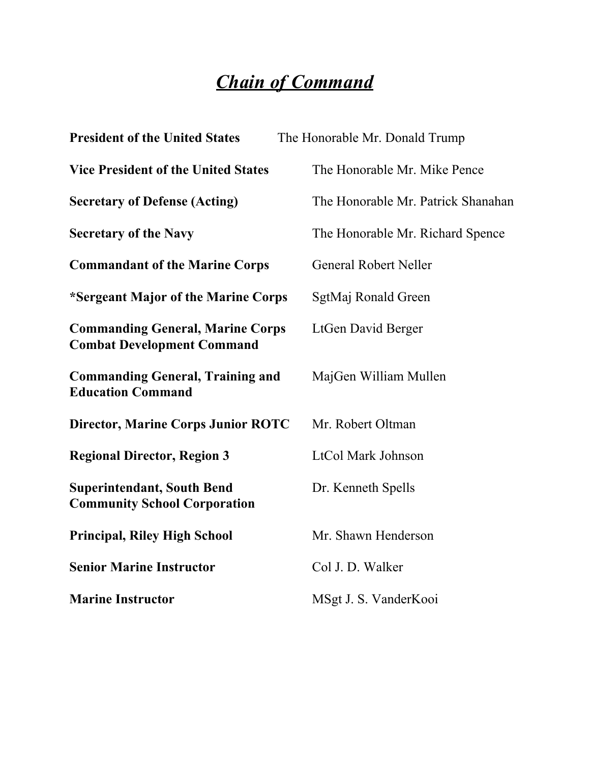## *Chain of Command*

| <b>President of the United States</b>                                        | The Honorable Mr. Donald Trump     |
|------------------------------------------------------------------------------|------------------------------------|
| <b>Vice President of the United States</b>                                   | The Honorable Mr. Mike Pence       |
| <b>Secretary of Defense (Acting)</b>                                         | The Honorable Mr. Patrick Shanahan |
| <b>Secretary of the Navy</b>                                                 | The Honorable Mr. Richard Spence   |
| <b>Commandant of the Marine Corps</b>                                        | <b>General Robert Neller</b>       |
| *Sergeant Major of the Marine Corps                                          | SgtMaj Ronald Green                |
| <b>Commanding General, Marine Corps</b><br><b>Combat Development Command</b> | <b>LtGen David Berger</b>          |
| <b>Commanding General, Training and</b><br><b>Education Command</b>          | MajGen William Mullen              |
| <b>Director, Marine Corps Junior ROTC</b>                                    | Mr. Robert Oltman                  |
| <b>Regional Director, Region 3</b>                                           | LtCol Mark Johnson                 |
| <b>Superintendant, South Bend</b><br><b>Community School Corporation</b>     | Dr. Kenneth Spells                 |
| <b>Principal, Riley High School</b>                                          | Mr. Shawn Henderson                |
| <b>Senior Marine Instructor</b>                                              | Col J. D. Walker                   |
| <b>Marine Instructor</b>                                                     | MSgt J. S. VanderKooi              |